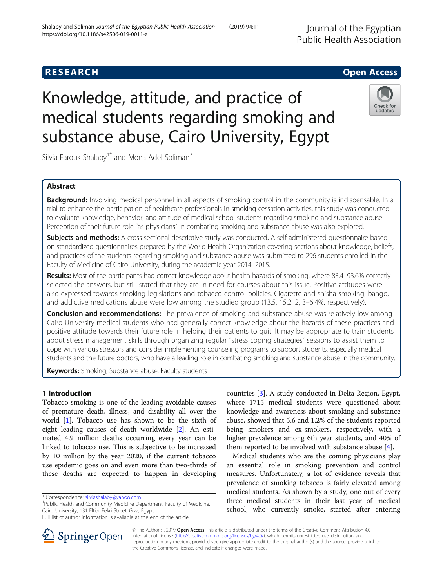## **RESEARCH CHE Open Access**

# Knowledge, attitude, and practice of medical students regarding smoking and substance abuse, Cairo University, Egypt

Silvia Farouk Shalaby<sup>1\*</sup> and Mona Adel Soliman<sup>2</sup>

## Abstract

**Background:** Involving medical personnel in all aspects of smoking control in the community is indispensable. In a trial to enhance the participation of healthcare professionals in smoking cessation activities, this study was conducted to evaluate knowledge, behavior, and attitude of medical school students regarding smoking and substance abuse. Perception of their future role "as physicians" in combating smoking and substance abuse was also explored.

Subjects and methods: A cross-sectional descriptive study was conducted. A self-administered questionnaire based on standardized questionnaires prepared by the World Health Organization covering sections about knowledge, beliefs, and practices of the students regarding smoking and substance abuse was submitted to 296 students enrolled in the Faculty of Medicine of Cairo University, during the academic year 2014–2015.

Results: Most of the participants had correct knowledge about health hazards of smoking, where 83.4–93.6% correctly selected the answers, but still stated that they are in need for courses about this issue. Positive attitudes were also expressed towards smoking legislations and tobacco control policies. Cigarette and shisha smoking, bango, and addictive medications abuse were low among the studied group (13.5, 15.2, 2, 3–6.4%, respectively).

**Conclusion and recommendations:** The prevalence of smoking and substance abuse was relatively low among Cairo University medical students who had generally correct knowledge about the hazards of these practices and positive attitude towards their future role in helping their patients to quit. It may be appropriate to train students about stress management skills through organizing regular "stress coping strategies" sessions to assist them to cope with various stressors and consider implementing counseling programs to support students, especially medical students and the future doctors, who have a leading role in combating smoking and substance abuse in the community.

Keywords: Smoking, Substance abuse, Faculty students

## 1 Introduction

Tobacco smoking is one of the leading avoidable causes of premature death, illness, and disability all over the world  $[1]$  $[1]$ . Tobacco use has shown to be the sixth of eight leading causes of death worldwide [[2\]](#page-7-0). An estimated 4.9 million deaths occurring every year can be linked to tobacco use. This is subjective to be increased by 10 million by the year 2020, if the current tobacco use epidemic goes on and even more than two-thirds of these deaths are expected to happen in developing

\* Correspondence: [silviashalaby@yahoo.com](mailto:silviashalaby@yahoo.com) <sup>1</sup>

<sup>1</sup>Public Health and Community Medicine Department, Faculty of Medicine, Cairo University, 131 Eltiar Fekri Street, Giza, Egypt

countries [[3\]](#page-7-0). A study conducted in Delta Region, Egypt, where 1715 medical students were questioned about knowledge and awareness about smoking and substance abuse, showed that 5.6 and 1.2% of the students reported being smokers and ex-smokers, respectively, with a higher prevalence among 6th year students, and 40% of them reported to be involved with substance abuse [\[4\]](#page-8-0).

Medical students who are the coming physicians play an essential role in smoking prevention and control measures. Unfortunately, a lot of evidence reveals that prevalence of smoking tobacco is fairly elevated among medical students. As shown by a study, one out of every three medical students in their last year of medical school, who currently smoke, started after entering

© The Author(s). 2019 Open Access This article is distributed under the terms of the Creative Commons Attribution 4.0 International License ([http://creativecommons.org/licenses/by/4.0/\)](http://creativecommons.org/licenses/by/4.0/), which permits unrestricted use, distribution, and reproduction in any medium, provided you give appropriate credit to the original author(s) and the source, provide a link to the Creative Commons license, and indicate if changes were made.





Full list of author information is available at the end of the article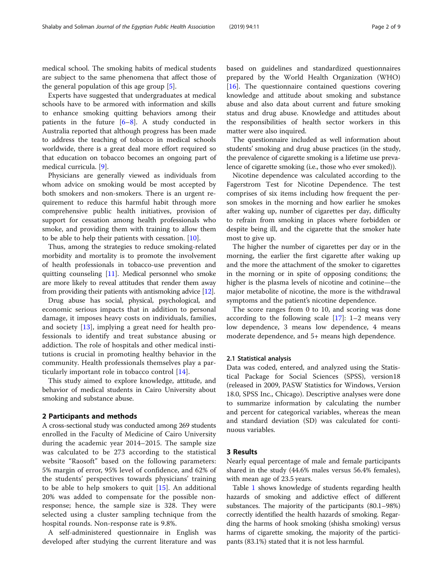medical school. The smoking habits of medical students are subject to the same phenomena that affect those of the general population of this age group [\[5](#page-8-0)].

Experts have suggested that undergraduates at medical schools have to be armored with information and skills to enhance smoking quitting behaviors among their patients in the future [[6](#page-8-0)–[8\]](#page-8-0). A study conducted in Australia reported that although progress has been made to address the teaching of tobacco in medical schools worldwide, there is a great deal more effort required so that education on tobacco becomes an ongoing part of medical curricula. [[9\]](#page-8-0).

Physicians are generally viewed as individuals from whom advice on smoking would be most accepted by both smokers and non-smokers. There is an urgent requirement to reduce this harmful habit through more comprehensive public health initiatives, provision of support for cessation among health professionals who smoke, and providing them with training to allow them to be able to help their patients with cessation. [[10\]](#page-8-0).

Thus, among the strategies to reduce smoking-related morbidity and mortality is to promote the involvement of health professionals in tobacco-use prevention and quitting counseling [[11\]](#page-8-0). Medical personnel who smoke are more likely to reveal attitudes that render them away from providing their patients with antismoking advice [[12](#page-8-0)].

Drug abuse has social, physical, psychological, and economic serious impacts that in addition to personal damage, it imposes heavy costs on individuals, families, and society [\[13](#page-8-0)], implying a great need for health professionals to identify and treat substance abusing or addiction. The role of hospitals and other medical institutions is crucial in promoting healthy behavior in the community. Health professionals themselves play a particularly important role in tobacco control [[14\]](#page-8-0).

This study aimed to explore knowledge, attitude, and behavior of medical students in Cairo University about smoking and substance abuse.

#### 2 Participants and methods

A cross-sectional study was conducted among 269 students enrolled in the Faculty of Medicine of Cairo University during the academic year 2014–2015. The sample size was calculated to be 273 according to the statistical website "Raosoft" based on the following parameters: 5% margin of error, 95% level of confidence, and 62% of the students' perspectives towards physicians' training to be able to help smokers to quit [[15](#page-8-0)]. An additional 20% was added to compensate for the possible nonresponse; hence, the sample size is 328. They were selected using a cluster sampling technique from the hospital rounds. Non-response rate is 9.8%.

A self-administered questionnaire in English was developed after studying the current literature and was

based on guidelines and standardized questionnaires prepared by the World Health Organization (WHO) [[16\]](#page-8-0). The questionnaire contained questions covering knowledge and attitude about smoking and substance abuse and also data about current and future smoking status and drug abuse. Knowledge and attitudes about the responsibilities of health sector workers in this matter were also inquired.

The questionnaire included as well information about students' smoking and drug abuse practices (in the study, the prevalence of cigarette smoking is a lifetime use prevalence of cigarette smoking (i.e., those who ever smoked)).

Nicotine dependence was calculated according to the Fagerstrom Test for Nicotine Dependence. The test comprises of six items including how frequent the person smokes in the morning and how earlier he smokes after waking up, number of cigarettes per day, difficulty to refrain from smoking in places where forbidden or despite being ill, and the cigarette that the smoker hate most to give up.

The higher the number of cigarettes per day or in the morning, the earlier the first cigarette after waking up and the more the attachment of the smoker to cigarettes in the morning or in spite of opposing conditions; the higher is the plasma levels of nicotine and cotinine—the major metabolite of nicotine, the more is the withdrawal symptoms and the patient's nicotine dependence.

The score ranges from 0 to 10, and scoring was done according to the following scale  $[17]$  $[17]$ : 1–2 means very low dependence, 3 means low dependence, 4 means moderate dependence, and 5+ means high dependence.

#### 2.1 Statistical analysis

Data was coded, entered, and analyzed using the Statistical Package for Social Sciences (SPSS), version18 (released in 2009, PASW Statistics for Windows, Version 18.0, SPSS Inc., Chicago). Descriptive analyses were done to summarize information by calculating the number and percent for categorical variables, whereas the mean and standard deviation (SD) was calculated for continuous variables.

#### 3 Results

Nearly equal percentage of male and female participants shared in the study (44.6% males versus 56.4% females), with mean age of 23.5 years.

Table [1](#page-2-0) shows knowledge of students regarding health hazards of smoking and addictive effect of different substances. The majority of the participants (80.1–98%) correctly identified the health hazards of smoking. Regarding the harms of hook smoking (shisha smoking) versus harms of cigarette smoking, the majority of the participants (83.1%) stated that it is not less harmful.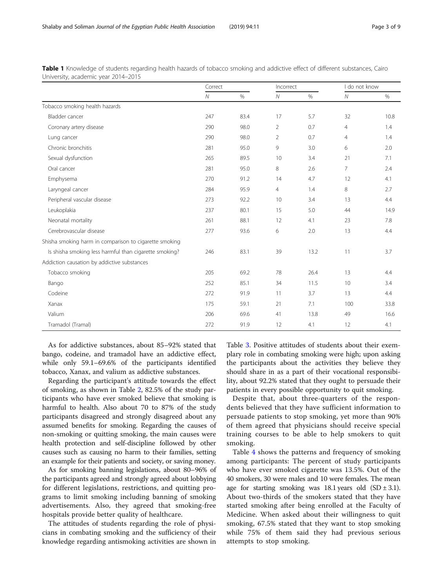As for addictive substances, about 85–92% stated that bango, codeine, and tramadol have an addictive effect, while only 59.1–69.6% of the participants identified tobacco, Xanax, and valium as addictive substances.

Regarding the participant's attitude towards the effect of smoking, as shown in Table [2,](#page-3-0) 82.5% of the study participants who have ever smoked believe that smoking is harmful to health. Also about 70 to 87% of the study participants disagreed and strongly disagreed about any assumed benefits for smoking. Regarding the causes of non-smoking or quitting smoking, the main causes were health protection and self-discipline followed by other causes such as causing no harm to their families, setting an example for their patients and society, or saving money.

As for smoking banning legislations, about 80–96% of the participants agreed and strongly agreed about lobbying for different legislations, restrictions, and quitting programs to limit smoking including banning of smoking advertisements. Also, they agreed that smoking-free hospitals provide better quality of healthcare.

The attitudes of students regarding the role of physicians in combating smoking and the sufficiency of their knowledge regarding antismoking activities are shown in

Table [3](#page-3-0). Positive attitudes of students about their exemplary role in combating smoking were high; upon asking the participants about the activities they believe they should share in as a part of their vocational responsibility, about 92.2% stated that they ought to persuade their patients in every possible opportunity to quit smoking.

Despite that, about three-quarters of the respondents believed that they have sufficient information to persuade patients to stop smoking, yet more than 90% of them agreed that physicians should receive special training courses to be able to help smokers to quit smoking.

Table [4](#page-4-0) shows the patterns and frequency of smoking among participants: The percent of study participants who have ever smoked cigarette was 13.5%. Out of the 40 smokers, 30 were males and 10 were females. The mean age for starting smoking was 18.1 years old  $(SD \pm 3.1)$ . About two-thirds of the smokers stated that they have started smoking after being enrolled at the Faculty of Medicine. When asked about their willingness to quit smoking, 67.5% stated that they want to stop smoking while 75% of them said they had previous serious attempts to stop smoking.

<span id="page-2-0"></span>

| Table 1 Knowledge of students regarding health hazards of tobacco smoking and addictive effect of different substances, Cairo |  |  |  |
|-------------------------------------------------------------------------------------------------------------------------------|--|--|--|
| University, academic year 2014–2015                                                                                           |  |  |  |

|                                                        | Correct        |      | Incorrect      |      | I do not know  |      |  |
|--------------------------------------------------------|----------------|------|----------------|------|----------------|------|--|
|                                                        | $\overline{N}$ | $\%$ | $\mathcal N$   | $\%$ | $\mathcal N$   | %    |  |
| Tobacco smoking health hazards                         |                |      |                |      |                |      |  |
| Bladder cancer                                         | 247            | 83.4 | 17             | 5.7  | 32             | 10.8 |  |
| Coronary artery disease                                | 290            | 98.0 | $\overline{2}$ | 0.7  | $\overline{4}$ | 1.4  |  |
| Lung cancer                                            | 290            | 98.0 | $\overline{2}$ | 0.7  | $\overline{4}$ | 1.4  |  |
| Chronic bronchitis                                     | 281            | 95.0 | 9              | 3.0  | 6              | 2.0  |  |
| Sexual dysfunction                                     | 265            | 89.5 | 10             | 3.4  | 21             | 7.1  |  |
| Oral cancer                                            | 281            | 95.0 | 8              | 2.6  | 7              | 2.4  |  |
| Emphysema                                              | 270            | 91.2 | 14             | 4.7  | 12             | 4.1  |  |
| Laryngeal cancer                                       | 284            | 95.9 | $\overline{4}$ | 1.4  | 8              | 2.7  |  |
| Peripheral vascular disease                            | 273            | 92.2 | 10             | 3.4  | 13             | 4.4  |  |
| Leukoplakia                                            | 237            | 80.1 | 15             | 5.0  | 44             | 14.9 |  |
| Neonatal mortality                                     | 261            | 88.1 | 12             | 4.1  | 23             | 7.8  |  |
| Cerebrovascular disease                                | 277            | 93.6 | 6              | 2.0  | 13             | 4.4  |  |
| Shisha smoking harm in comparison to cigarette smoking |                |      |                |      |                |      |  |
| Is shisha smoking less harmful than cigarette smoking? | 246            | 83.1 | 39             | 13.2 | 11             | 3.7  |  |
| Addiction causation by addictive substances            |                |      |                |      |                |      |  |
| Tobacco smoking                                        | 205            | 69.2 | 78             | 26.4 | 13             | 4.4  |  |
| Bango                                                  | 252            | 85.1 | 34             | 11.5 | 10             | 3.4  |  |
| Codeine                                                | 272            | 91.9 | 11             | 3.7  | 13             | 4.4  |  |
| Xanax                                                  | 175            | 59.1 | 21             | 7.1  | 100            | 33.8 |  |
| Valium                                                 | 206            | 69.6 | 41             | 13.8 | 49             | 16.6 |  |
| Tramadol (Tramal)                                      | 272            | 91.9 | 12             | 4.1  | 12             | 4.1  |  |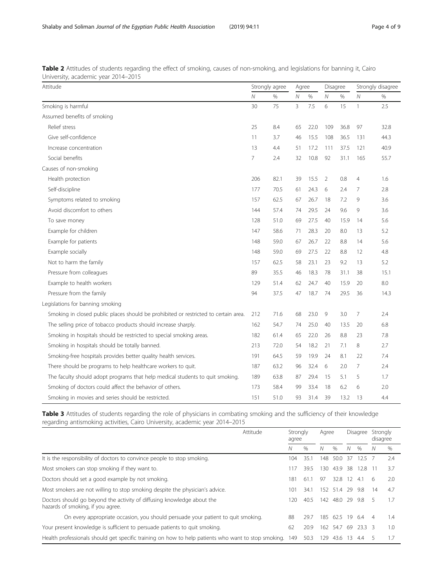| Attitude                                                                            |                | Strongly agree |                | Agree |              | Disagree |                | Strongly disagree |  |
|-------------------------------------------------------------------------------------|----------------|----------------|----------------|-------|--------------|----------|----------------|-------------------|--|
|                                                                                     |                | %              | N              | $\%$  | $\mathcal N$ | $\%$     | $\mathcal N$   | %                 |  |
| Smoking is harmful                                                                  | 30             | 75             | $\overline{3}$ | 7.5   | 6            | 15       | $\mathbf{1}$   | 2.5               |  |
| Assumed benefits of smoking                                                         |                |                |                |       |              |          |                |                   |  |
| Relief stress                                                                       | 25             | 8.4            | 65             | 22.0  | 109          | 36.8     | 97             | 32.8              |  |
| Give self-confidence                                                                | 11             | 3.7            | 46             | 15.5  | 108          | 36.5     | 131            | 44.3              |  |
| Increase concentration                                                              | 13             | 4.4            | 51             | 17.2  | 111          | 37.5     | 121            | 40.9              |  |
| Social benefits                                                                     | $\overline{7}$ | 2.4            | 32             | 10.8  | 92           | 31.1     | 165            | 55.7              |  |
| Causes of non-smoking                                                               |                |                |                |       |              |          |                |                   |  |
| Health protection                                                                   | 206            | 82.1           | 39             | 15.5  | 2            | 0.8      | $\overline{4}$ | 1.6               |  |
| Self-discipline                                                                     | 177            | 70.5           | 61             | 24.3  | 6            | 2.4      | 7              | 2.8               |  |
| Symptoms related to smoking                                                         | 157            | 62.5           | 67             | 26.7  | 18           | 7.2      | 9              | 3.6               |  |
| Avoid discomfort to others                                                          | 144            | 57.4           | 74             | 29.5  | 24           | 9.6      | 9              | 3.6               |  |
| To save money                                                                       | 128            | 51.0           | 69             | 27.5  | 40           | 15.9     | 14             | 5.6               |  |
| Example for children                                                                | 147            | 58.6           | 71             | 28.3  | 20           | 8.0      | 13             | 5.2               |  |
| Example for patients                                                                | 148            | 59.0           | 67             | 26.7  | 22           | 8.8      | 14             | 5.6               |  |
| Example socially                                                                    | 148            | 59.0           | 69             | 27.5  | 22           | 8.8      | 12             | 4.8               |  |
| Not to harm the family                                                              | 157            | 62.5           | 58             | 23.1  | 23           | 9.2      | 13             | 5.2               |  |
| Pressure from colleagues                                                            | 89             | 35.5           | 46             | 18.3  | 78           | 31.1     | 38             | 15.1              |  |
| Example to health workers                                                           | 129            | 51.4           | 62             | 24.7  | 40           | 15.9     | 20             | 8.0               |  |
| Pressure from the family                                                            | 94             | 37.5           | 47             | 18.7  | 74           | 29.5     | 36             | 14.3              |  |
| Legislations for banning smoking                                                    |                |                |                |       |              |          |                |                   |  |
| Smoking in closed public places should be prohibited or restricted to certain area. | 212            | 71.6           | 68             | 23.0  | 9            | 3.0      | 7              | 2.4               |  |
| The selling price of tobacco products should increase sharply.                      | 162            | 54.7           | 74             | 25.0  | 40           | 13.5     | 20             | 6.8               |  |
| Smoking in hospitals should be restricted to special smoking areas.                 | 182            | 61.4           | 65             | 22.0  | 26           | 8.8      | 23             | 7.8               |  |
| Smoking in hospitals should be totally banned.                                      | 213            | 72.0           | 54             | 18.2  | 21           | 7.1      | 8              | 2.7               |  |
| Smoking-free hospitals provides better quality health services.                     | 191            | 64.5           | 59             | 19.9  | 24           | 8.1      | 22             | 7.4               |  |
| There should be programs to help healthcare workers to quit.                        | 187            | 63.2           | 96             | 32.4  | 6            | 2.0      | 7              | 2.4               |  |
| The faculty should adopt programs that help medical students to quit smoking.       | 189            | 63.8           | 87             | 29.4  | 15           | 5.1      | 5              | 1.7               |  |
| Smoking of doctors could affect the behavior of others.                             | 173            | 58.4           | 99             | 33.4  | 18           | 6.2      | 6              | 2.0               |  |
| Smoking in movies and series should be restricted.                                  | 151            | 51.0           | 93             | 31.4  | 39           | 13.2     | 13             | 4.4               |  |

<span id="page-3-0"></span>Table 2 Attitudes of students regarding the effect of smoking, causes of non-smoking, and legislations for banning it, Cairo University, academic year 2014–2015

Table 3 Attitudes of students regarding the role of physicians in combating smoking and the sufficiency of their knowledge regarding antismoking activities, Cairo University, academic year 2014–2015

| Attitude                                                                                                    | Strongly<br>agree |      |                   | Agree       |                   | Disagree   | Strongly<br>disagree |      |
|-------------------------------------------------------------------------------------------------------------|-------------------|------|-------------------|-------------|-------------------|------------|----------------------|------|
|                                                                                                             | Ν                 | $\%$ | Ν                 | $\%$        | Ν                 | $\%$       |                      | $\%$ |
| It is the responsibility of doctors to convince people to stop smoking.                                     | 104               | 35.1 | 148               | 50.0        | -37               | $12.5 \t7$ |                      | 2.4  |
| Most smokers can stop smoking if they want to.                                                              | 117               | 39.5 | 130.              | 43.9        | -38               | 12.8       |                      | 3.7  |
| Doctors should set a good example by not smoking.                                                           | 181               | 61.1 | 97                | 32.8        | $12 \overline{ }$ | 4.1        | 6                    | 2.0  |
| Most smokers are not willing to stop smoking despite the physician's advice.                                | 101               | 34.1 | 152 <sub>15</sub> | 51.4 29 9.8 |                   |            | 14                   | 4.7  |
| Doctors should go beyond the activity of diffusing knowledge about the<br>hazards of smoking, if you agree. | 120               | 40.5 | 142               | 48.0        | 29                | 9.8        | 5                    | 1.7  |
| On every appropriate occasion, you should persuade your patient to quit smoking.                            | 88                | 29.7 | 185               | 62.5 19     |                   | 6.4        |                      | 1.4  |
| Your present knowledge is sufficient to persuade patients to quit smoking.                                  | 62                | 20.9 | 162               | 54.7        | -69               | 23.3 3     |                      | 1.0  |
| Health professionals should get specific training on how to help patients who want to stop smoking. 149     |                   | 50.3 | 129               | 43.6        | 13                | 4.4        |                      | 1.7  |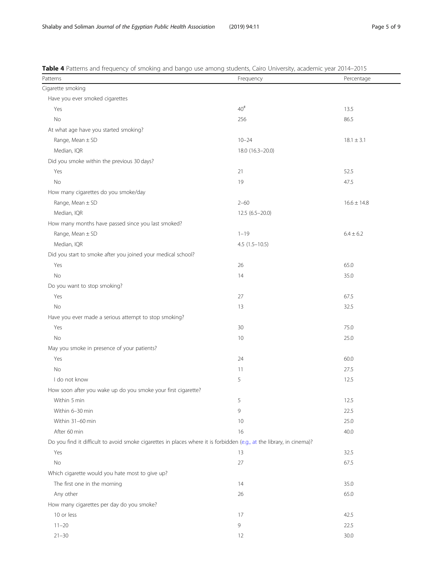<span id="page-4-0"></span>

| Table 4 Patterns and frequency of smoking and bango use among students, Cairo University, academic year 2014-2015     |                  |                 |  |  |
|-----------------------------------------------------------------------------------------------------------------------|------------------|-----------------|--|--|
| Patterns                                                                                                              | Frequency        |                 |  |  |
| Cigarette smoking                                                                                                     |                  |                 |  |  |
| Have you ever smoked cigarettes                                                                                       |                  |                 |  |  |
| Yes                                                                                                                   | 40 <sup>#</sup>  | 13.5            |  |  |
| No                                                                                                                    | 256              | 86.5            |  |  |
| At what age have you started smoking?                                                                                 |                  |                 |  |  |
| Range, Mean ± SD                                                                                                      | $10 - 24$        | $18.1 \pm 3.1$  |  |  |
| Median, IQR                                                                                                           | 18.0 (16.3-20.0) |                 |  |  |
| Did you smoke within the previous 30 days?                                                                            |                  |                 |  |  |
| Yes                                                                                                                   | 21               | 52.5            |  |  |
| No                                                                                                                    | 19               | 47.5            |  |  |
| How many cigarettes do you smoke/day                                                                                  |                  |                 |  |  |
| Range, Mean ± SD                                                                                                      | $2 - 60$         | $16.6 \pm 14.8$ |  |  |
| Median, IQR                                                                                                           | $12.5(6.5-20.0)$ |                 |  |  |
| How many months have passed since you last smoked?                                                                    |                  |                 |  |  |
| Range, Mean ± SD                                                                                                      | $1 - 19$         | $6.4 \pm 6.2$   |  |  |
| Median, IQR                                                                                                           | $4.5(1.5-10.5)$  |                 |  |  |
| Did you start to smoke after you joined your medical school?                                                          |                  |                 |  |  |
| Yes                                                                                                                   | 26               | 65.0            |  |  |
| No                                                                                                                    | 14               | 35.0            |  |  |
| Do you want to stop smoking?                                                                                          |                  |                 |  |  |
| Yes                                                                                                                   | 27               | 67.5            |  |  |
| No                                                                                                                    | 13               | 32.5            |  |  |
| Have you ever made a serious attempt to stop smoking?                                                                 |                  |                 |  |  |
| Yes                                                                                                                   | 30               | 75.0            |  |  |
| No                                                                                                                    | 10               | 25.0            |  |  |
| May you smoke in presence of your patients?                                                                           |                  |                 |  |  |
| Yes                                                                                                                   | 24               | 60.0            |  |  |
| No                                                                                                                    | 11               | 27.5            |  |  |
| I do not know                                                                                                         | 5                | 12.5            |  |  |
| How soon after you wake up do you smoke your first cigarette?                                                         |                  |                 |  |  |
| Within 5 min                                                                                                          | 5                | 12.5            |  |  |
| Within 6-30 min                                                                                                       | 9                | 22.5            |  |  |
| Within 31-60 min                                                                                                      | 10               | 25.0            |  |  |
| After 60 min                                                                                                          | 16               | 40.0            |  |  |
| Do you find it difficult to avoid smoke cigarettes in places where it is forbidden (e.g., at the library, in cinema)? |                  |                 |  |  |
| Yes                                                                                                                   | 13               | 32.5            |  |  |
| No                                                                                                                    | 27               | 67.5            |  |  |
| Which cigarette would you hate most to give up?                                                                       |                  |                 |  |  |
| The first one in the morning                                                                                          | 14               | 35.0            |  |  |
| Any other                                                                                                             | 26               | 65.0            |  |  |
| How many cigarettes per day do you smoke?                                                                             |                  |                 |  |  |
| 10 or less                                                                                                            | 17               | 42.5            |  |  |
| $11 - 20$                                                                                                             | 9                | 22.5            |  |  |
|                                                                                                                       |                  |                 |  |  |
| $21 - 30$                                                                                                             | 12               | 30.0            |  |  |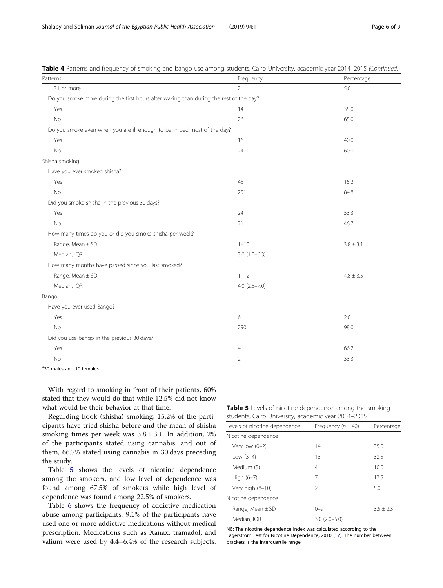| Patterns                                                                               | Frequency        | Percentage    |
|----------------------------------------------------------------------------------------|------------------|---------------|
| 31 or more                                                                             | $\overline{2}$   | 5.0           |
| Do you smoke more during the first hours after waking than during the rest of the day? |                  |               |
| Yes                                                                                    | 14               | 35.0          |
| $\rm No$                                                                               | 26               | 65.0          |
| Do you smoke even when you are ill enough to be in bed most of the day?                |                  |               |
| Yes                                                                                    | 16               | 40.0          |
| $\rm No$                                                                               | 24               | 60.0          |
| Shisha smoking                                                                         |                  |               |
| Have you ever smoked shisha?                                                           |                  |               |
| Yes                                                                                    | 45               | 15.2          |
| No                                                                                     | 251              | 84.8          |
| Did you smoke shisha in the previous 30 days?                                          |                  |               |
| Yes                                                                                    | 24               | 53.3          |
| <b>No</b>                                                                              | 21               | 46.7          |
| How many times do you or did you smoke shisha per week?                                |                  |               |
| Range, Mean ± SD                                                                       | $1 - 10$         | $3.8 \pm 3.1$ |
| Median, IQR                                                                            | $3.0(1.0-6.3)$   |               |
| How many months have passed since you last smoked?                                     |                  |               |
| Range, Mean ± SD                                                                       | $1 - 12$         | $4.8 \pm 3.5$ |
| Median, IQR                                                                            | $4.0(2.5 - 7.0)$ |               |
| Bango                                                                                  |                  |               |
| Have you ever used Bango?                                                              |                  |               |
| Yes                                                                                    | 6                | 2.0           |
| No                                                                                     | 290              | 98.0          |
| Did you use bango in the previous 30 days?                                             |                  |               |
| Yes                                                                                    | 4                | 66.7          |
| No                                                                                     | $\overline{2}$   | 33.3          |

Table 4 Patterns and frequency of smoking and bango use among students, Cairo University, academic year 2014–2015 (Continued)

# 30 males and 10 females

With regard to smoking in front of their patients, 60% stated that they would do that while 12.5% did not know what would be their behavior at that time.

Regarding hook (shisha) smoking, 15.2% of the participants have tried shisha before and the mean of shisha smoking times per week was  $3.8 \pm 3.1$ . In addition, 2% of the participants stated using cannabis, and out of them, 66.7% stated using cannabis in 30 days preceding the study.

Table 5 shows the levels of nicotine dependence among the smokers, and low level of dependence was found among 67.5% of smokers while high level of dependence was found among 22.5% of smokers.

Table [6](#page-6-0) shows the frequency of addictive medication abuse among participants. 9.1% of the participants have used one or more addictive medications without medical prescription. Medications such as Xanax, tramadol, and valium were used by 4.4–6.4% of the research subjects.

**Table 5** Levels of nicotine dependence among the smoking students, Cairo University, academic year 2014–2015

| students, Calfo University, academic year 2014–2015 |                        |               |
|-----------------------------------------------------|------------------------|---------------|
| Levels of nicotine dependence                       | Frequency ( $n = 40$ ) | Percentage    |
| Nicotine dependence                                 |                        |               |
| Very low $(0-2)$                                    | 14                     | 35.0          |
| Low $(3-4)$                                         | 13                     | 32.5          |
| Medium (5)                                          | 4                      | 10.0          |
| High $(6-7)$                                        | 7                      | 17.5          |
| Very high (8-10)                                    | 2                      | 5.0           |
| Nicotine dependence                                 |                        |               |
| Range, Mean $\pm$ SD                                | $() - 9$               | $3.5 \pm 2.3$ |
| Median. IOR                                         | $3.0(2.0-5.0)$         |               |
|                                                     |                        |               |

NB: The nicotine dependence index was calculated according to the Fagerstrom Test for Nicotine Dependence, 2010 [\[17](#page-8-0)]. The number between brackets is the interquartile range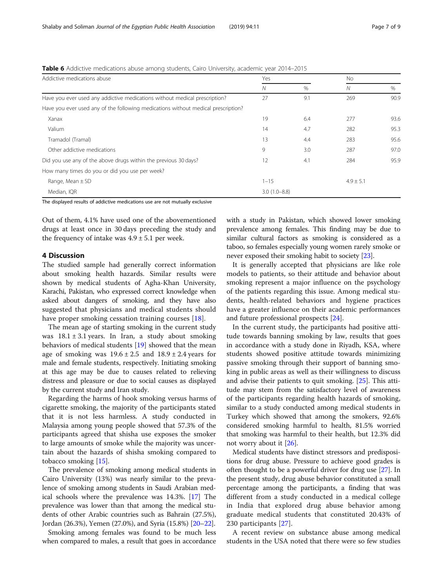| Addictive medications abuse                                                       |                  |      | No.           |      |  |
|-----------------------------------------------------------------------------------|------------------|------|---------------|------|--|
|                                                                                   | N                | $\%$ | N             | $\%$ |  |
| Have you ever used any addictive medications without medical prescription?        | 27               | 9.1  | 269           | 90.9 |  |
| Have you ever used any of the following medications without medical prescription? |                  |      |               |      |  |
| Xanax                                                                             | 19               | 6.4  | 277           | 93.6 |  |
| Valium                                                                            | 14               | 4.7  | 282           | 95.3 |  |
| Tramadol (Tramal)                                                                 | 13               | 4.4  | 283           | 95.6 |  |
| Other addictive medications                                                       | 9                | 3.0  | 287           | 97.0 |  |
| Did you use any of the above drugs within the previous 30 days?                   | 12               | 4.1  | 284           | 95.9 |  |
| How many times do you or did you use per week?                                    |                  |      |               |      |  |
| Range, Mean $\pm$ SD                                                              | $1 - 15$         |      | $4.9 \pm 5.1$ |      |  |
| Median, IQR                                                                       | $3.0(1.0 - 8.8)$ |      |               |      |  |
|                                                                                   |                  |      |               |      |  |

<span id="page-6-0"></span>Table 6 Addictive medications abuse among students, Cairo University, academic year 2014–2015

The displayed results of addictive medications use are not mutually exclusive

Out of them, 4.1% have used one of the abovementioned drugs at least once in 30 days preceding the study and the frequency of intake was  $4.9 \pm 5.1$  per week.

#### 4 Discussion

The studied sample had generally correct information about smoking health hazards. Similar results were shown by medical students of Agha-Khan University, Karachi, Pakistan, who expressed correct knowledge when asked about dangers of smoking, and they have also suggested that physicians and medical students should have proper smoking cessation training courses [\[18](#page-8-0)].

The mean age of starting smoking in the current study was  $18.1 \pm 3.1$  years. In Iran, a study about smoking behaviors of medical students [\[19\]](#page-8-0) showed that the mean age of smoking was  $19.6 \pm 2.5$  and  $18.9 \pm 2.4$  years for male and female students, respectively. Initiating smoking at this age may be due to causes related to relieving distress and pleasure or due to social causes as displayed by the current study and Iran study.

Regarding the harms of hook smoking versus harms of cigarette smoking, the majority of the participants stated that it is not less harmless. A study conducted in Malaysia among young people showed that 57.3% of the participants agreed that shisha use exposes the smoker to large amounts of smoke while the majority was uncertain about the hazards of shisha smoking compared to tobacco smoking [\[15\]](#page-8-0).

The prevalence of smoking among medical students in Cairo University (13%) was nearly similar to the prevalence of smoking among students in Saudi Arabian medical schools where the prevalence was 14.3%. [[17\]](#page-8-0) The prevalence was lower than that among the medical students of other Arabic countries such as Bahrain (27.5%), Jordan (26.3%), Yemen (27.0%), and Syria (15.8%) [\[20](#page-8-0)–[22](#page-8-0)].

Smoking among females was found to be much less when compared to males, a result that goes in accordance with a study in Pakistan, which showed lower smoking prevalence among females. This finding may be due to similar cultural factors as smoking is considered as a taboo, so females especially young women rarely smoke or never exposed their smoking habit to society [[23](#page-8-0)].

It is generally accepted that physicians are like role models to patients, so their attitude and behavior about smoking represent a major influence on the psychology of the patients regarding this issue. Among medical students, health-related behaviors and hygiene practices have a greater influence on their academic performances and future professional prospects [\[24](#page-8-0)].

In the current study, the participants had positive attitude towards banning smoking by law, results that goes in accordance with a study done in Riyadh, KSA, where students showed positive attitude towards minimizing passive smoking through their support of banning smoking in public areas as well as their willingness to discuss and advise their patients to quit smoking. [\[25](#page-8-0)]. This attitude may stem from the satisfactory level of awareness of the participants regarding health hazards of smoking, similar to a study conducted among medical students in Turkey which showed that among the smokers, 92.6% considered smoking harmful to health, 81.5% worried that smoking was harmful to their health, but 12.3% did not worry about it [[26\]](#page-8-0).

Medical students have distinct stressors and predispositions for drug abuse. Pressure to achieve good grades is often thought to be a powerful driver for drug use [\[27\]](#page-8-0). In the present study, drug abuse behavior constituted a small percentage among the participants, a finding that was different from a study conducted in a medical college in India that explored drug abuse behavior among graduate medical students that constituted 20.43% of 230 participants [[27\]](#page-8-0).

A recent review on substance abuse among medical students in the USA noted that there were so few studies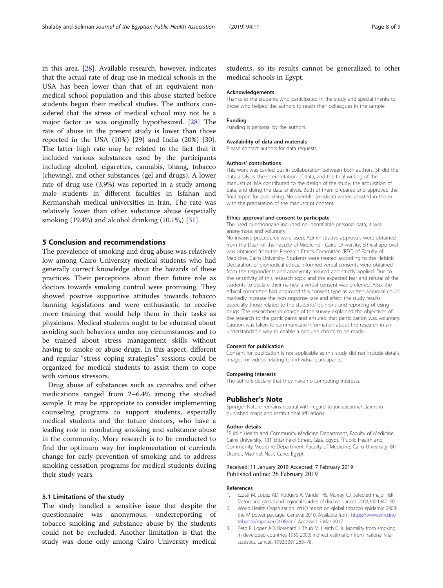<span id="page-7-0"></span>in this area. [\[28\]](#page-8-0). Available research, however, indicates that the actual rate of drug use in medical schools in the USA has been lower than that of an equivalent nonmedical school population and this abuse started before students began their medical studies. The authors considered that the stress of medical school may not be a major factor as was originally hypothesized. [\[28\]](#page-8-0) The rate of abuse in the present study is lower than those reported in the USA  $(10\%)$   $[29]$  $[29]$  and India  $(20\%)$   $[30]$  $[30]$ . The latter high rate may be related to the fact that it included various substances used by the participants including alcohol, cigarettes, cannabis, bhang, tobacco (chewing), and other substances (gel and drugs). A lower rate of drug use (3.9%) was reported in a study among male students in different faculties in Isfahan and Kermanshah medical universities in Iran. The rate was relatively lower than other substance abuse (especially smoking (19.4%) and alcohol drinking (10.1%,) [\[31](#page-8-0)].

#### 5 Conclusion and recommendations

The prevalence of smoking and drug abuse was relatively low among Cairo University medical students who had generally correct knowledge about the hazards of these practices. Their perceptions about their future role as doctors towards smoking control were promising. They showed positive supportive attitudes towards tobacco banning legislations and were enthusiastic to receive more training that would help them in their tasks as physicians. Medical students ought to be educated about avoiding such behaviors under any circumstances and to be trained about stress management skills without having to smoke or abuse drugs. In this aspect, different and regular "stress coping strategies" sessions could be organized for medical students to assist them to cope with various stressors.

Drug abuse of substances such as cannabis and other medications ranged from 2–6.4% among the studied sample. It may be appropriate to consider implementing counseling programs to support students, especially medical students and the future doctors, who have a leading role in combating smoking and substance abuse in the community. More research is to be conducted to find the optimum way for implementation of curricula change for early prevention of smoking and to address smoking cessation programs for medical students during their study years.

#### 5.1 Limitations of the study

The study handled a sensitive issue that despite the questionnaire was anonymous, underreporting of tobacco smoking and substance abuse by the students could not be excluded. Another limitation is that the study was done only among Cairo University medical

students, so its results cannot be generalized to other medical schools in Egypt.

#### Acknowledgements

Thanks to the students who participated in the study and special thanks to those who helped the authors to reach their colleagues in the sample.

#### Funding

Funding is personal by the authors.

#### Availability of data and materials

Please contact authors for data requests.

#### Authors' contributions

This work was carried out in collaboration between both authors. SF did the data analysis, the interpretation of data, and the final writing of the manuscript. MA contributed to the design of the study, the acquisition of data, and doing the data analysis. Both of them prepared and approved the final report for publishing. No scientific (medical) writers assisted in the or with the preparation of the manuscript content.

#### Ethics approval and consent to participate

The used questionnaire included no identifiable personal data; it was anonymous and voluntary.

No invasive procedures were used. Administrative approvals were obtained from the Dean of the Faculty of Medicine - Cairo University. Ethical approval was obtained from the Research Ethics Committee (REC) of Faculty of Medicine, Cairo University. Students were treated according to the Helsinki Declaration of biomedical ethics. Informed verbal consents were obtained from the respondents and anonymity assured and strictly applied. Due to the sensitivity of this research topic and the expected fear and refusal of the students to declare their names; a verbal consent was preferred. Also, the ethical committee had approved this consent type as written approval could markedly increase the non response rate and affect the study results especially those related to the students' opinions and reporting of using drugs. The researchers in charge of the survey explained the objectives of the research to the participants and ensured that participation was voluntary. Caution was taken to communicate information about the research in an understandable way to enable a genuine choice to be made.

#### Consent for publication

Consent for publication is not applicable as this study did not include details, images, or videos relating to individual participants.

#### Competing interests

The authors declare that they have no competing interests.

#### Publisher's Note

Springer Nature remains neutral with regard to jurisdictional claims in published maps and institutional affiliations.

#### Author details

<sup>1</sup>Public Health and Community Medicine Department, Faculty of Medicine, Cairo University, 131 Eltiar Fekri Street, Giza, Egypt. <sup>2</sup>Public Health and Community Medicine Department, Faculty of Medicine, Cairo University, 8th District, Madinet Nasr, Cairo, Egypt.

#### Received: 11 January 2019 Accepted: 7 February 2019 Published online: 26 February 2019

#### References

- 1. Ezzati M, Lopez AD, Rodgers A, Vander HS, Murray CJ. Selected major risk factors and global and regional burden of disease. Lancet. 2002;360:1347–60.
- 2. World Health Organization. WHO report on global tobacco epidemic 2008: the M power package. Geneva; 2010. Available from: [https://www.who.int/](https://www.who.int/tobacco/mpower/2008/en/) [tobacco/mpower/2008/en/](https://www.who.int/tobacco/mpower/2008/en/). Accessed 3 Mar 2017
- 3. Peto R, Lopez AD, Boreham J, Thun M, Heath C Jr. Mortality from smoking in developed countries 1950-2000: indirect estimation from national vital statistics. Lancet. 1992;339:1268–78.